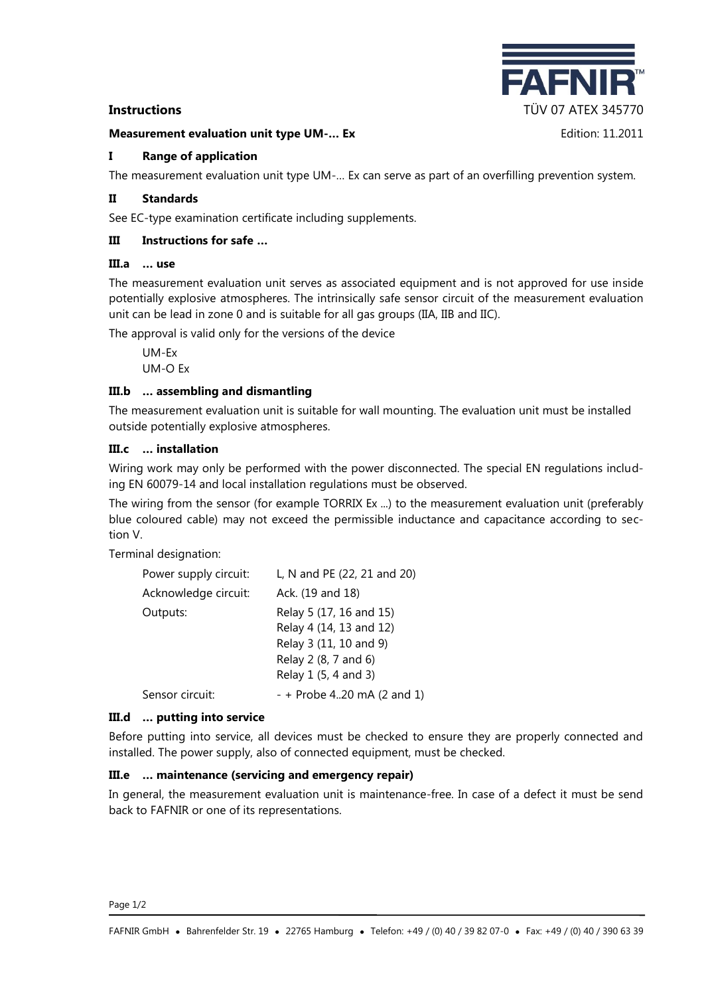#### **Measurement evaluation unit type UM-… Ex** Edition: 11.2011

'AFN **Instructions** TÜV 07 ATEX 345770

## **I Range of application**

The measurement evaluation unit type UM-… Ex can serve as part of an overfilling prevention system.

## **II Standards**

See EC-type examination certificate including supplements.

## **III Instructions for safe …**

#### **III.a … use**

The measurement evaluation unit serves as associated equipment and is not approved for use inside potentially explosive atmospheres. The intrinsically safe sensor circuit of the measurement evaluation unit can be lead in zone 0 and is suitable for all gas groups (IIA, IIB and IIC).

The approval is valid only for the versions of the device

UM-Ex UM-O Ex

## **III.b … assembling and dismantling**

The measurement evaluation unit is suitable for wall mounting. The evaluation unit must be installed outside potentially explosive atmospheres.

#### **III.c … installation**

Wiring work may only be performed with the power disconnected. The special EN regulations including EN 60079-14 and local installation regulations must be observed.

The wiring from the sensor (for example TORRIX Ex ...) to the measurement evaluation unit (preferably blue coloured cable) may not exceed the permissible inductance and capacitance according to section V.

Terminal designation:

| Power supply circuit: | L, N and PE (22, 21 and 20)                        |  |
|-----------------------|----------------------------------------------------|--|
| Acknowledge circuit:  | Ack. (19 and 18)                                   |  |
| Outputs:              | Relay 5 (17, 16 and 15)<br>Relay 4 (14, 13 and 12) |  |
|                       | Relay 3 (11, 10 and 9)<br>Relay 2 (8, 7 and 6)     |  |
|                       | Relay 1 (5, 4 and 3)                               |  |
| Sensor circuit:       | $- +$ Probe 420 mA (2 and 1)                       |  |

#### **III.d … putting into service**

Before putting into service, all devices must be checked to ensure they are properly connected and installed. The power supply, also of connected equipment, must be checked.

#### **III.e … maintenance (servicing and emergency repair)**

In general, the measurement evaluation unit is maintenance-free. In case of a defect it must be send back to FAFNIR or one of its representations.